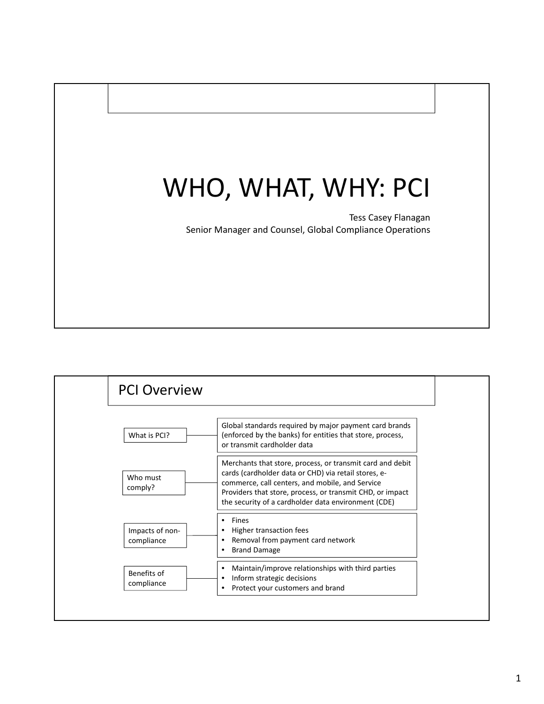# WHO, WHAT, WHY: PCI

Tess Casey Flanagan Senior Manager and Counsel, Global Compliance Operations

|                               | <b>PCI Overview</b>                                                                                                                                                                                                                                                                      |  |  |
|-------------------------------|------------------------------------------------------------------------------------------------------------------------------------------------------------------------------------------------------------------------------------------------------------------------------------------|--|--|
| What is PCI?                  | Global standards required by major payment card brands<br>(enforced by the banks) for entities that store, process,<br>or transmit cardholder data                                                                                                                                       |  |  |
| Who must<br>comply?           | Merchants that store, process, or transmit card and debit<br>cards (cardholder data or CHD) via retail stores, e-<br>commerce, call centers, and mobile, and Service<br>Providers that store, process, or transmit CHD, or impact<br>the security of a cardholder data environment (CDE) |  |  |
| Impacts of non-<br>compliance | <b>Fines</b><br>٠<br>Higher transaction fees<br>٠<br>Removal from payment card network<br>٠<br><b>Brand Damage</b><br>٠                                                                                                                                                                  |  |  |
| Benefits of<br>compliance     | Maintain/improve relationships with third parties<br>٠<br>Inform strategic decisions<br>Protect your customers and brand<br>٠                                                                                                                                                            |  |  |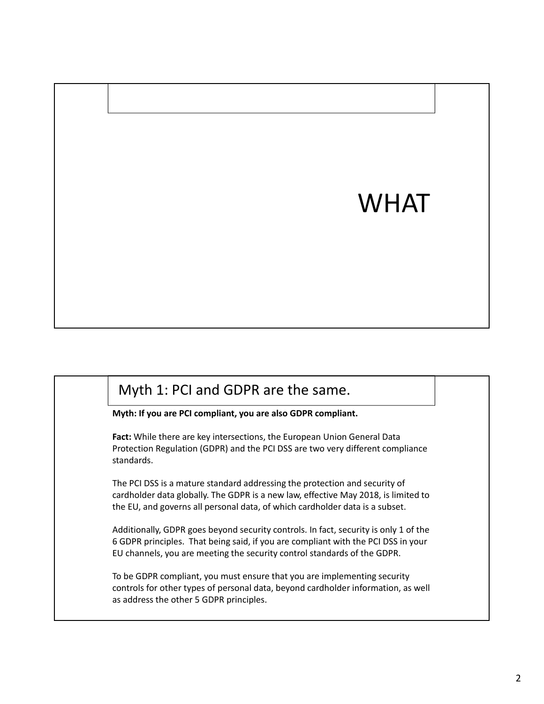# WHAT

#### Myth 1: PCI and GDPR are the same.

**Myth: If you are PCI compliant, you are also GDPR compliant.**

**Fact:** While there are key intersections, the European Union General Data Protection Regulation (GDPR) and the PCI DSS are two very different compliance standards.

The PCI DSS is a mature standard addressing the protection and security of cardholder data globally. The GDPR is a new law, effective May 2018, is limited to the EU, and governs all personal data, of which cardholder data is a subset.

Additionally, GDPR goes beyond security controls. In fact, security is only 1 of the 6 GDPR principles. That being said, if you are compliant with the PCI DSS in your EU channels, you are meeting the security control standards of the GDPR.

To be GDPR compliant, you must ensure that you are implementing security controls for other types of personal data, beyond cardholder information, as well as address the other 5 GDPR principles.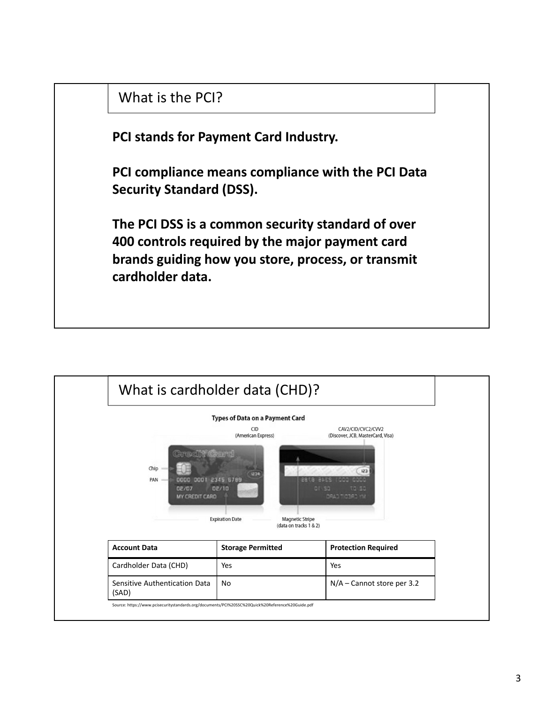

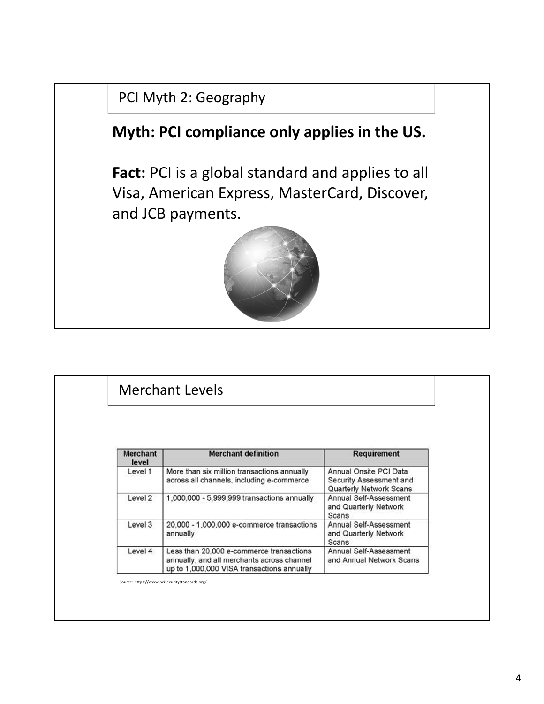## PCI Myth 2: Geography

# **Myth: PCI compliance only applies in the US.**

**Fact:** PCI is a global standard and applies to all Visa, American Express, MasterCard, Discover, and JCB payments.



# Merchant Levels

| <b>Merchant</b><br>level | <b>Merchant definition</b>                                                                                                           | <b>Requirement</b>                                                           |
|--------------------------|--------------------------------------------------------------------------------------------------------------------------------------|------------------------------------------------------------------------------|
| Level 1                  | More than six million transactions annually<br>across all channels, including e-commerce                                             | Annual Onsite PCI Data<br>Security Assessment and<br>Quarterly Network Scans |
| Level 2                  | 1,000,000 - 5,999,999 transactions annually                                                                                          | Annual Self-Assessment<br>and Quarterly Network<br>Scans                     |
| Level 3                  | 20,000 - 1,000,000 e-commerce transactions<br>annually                                                                               | Annual Self-Assessment<br>and Quarterly Network<br>Scans                     |
| Level 4                  | Less than 20,000 e-commerce transactions<br>annually, and all merchants across channel<br>up to 1,000,000 VISA transactions annually | Annual Self-Assessment<br>and Annual Network Scans                           |

Source: https://www.pcisecuritystandards.org/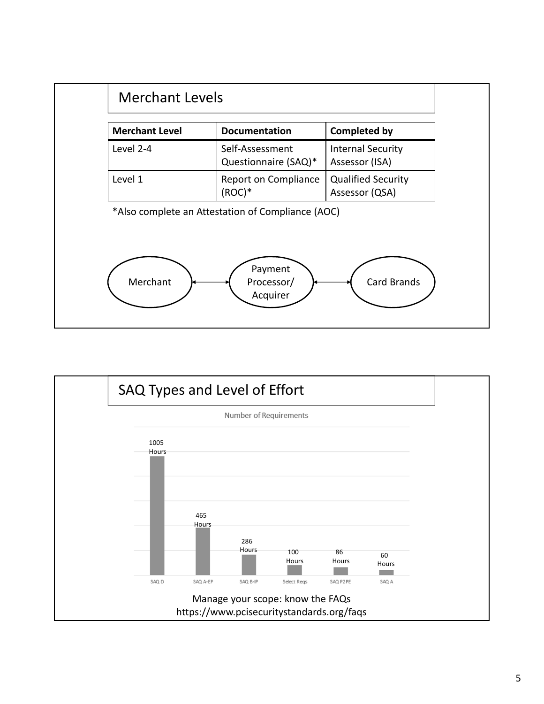

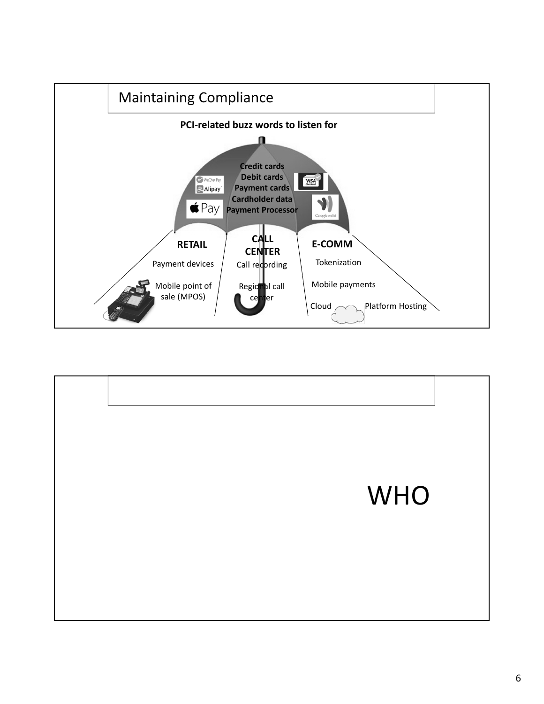

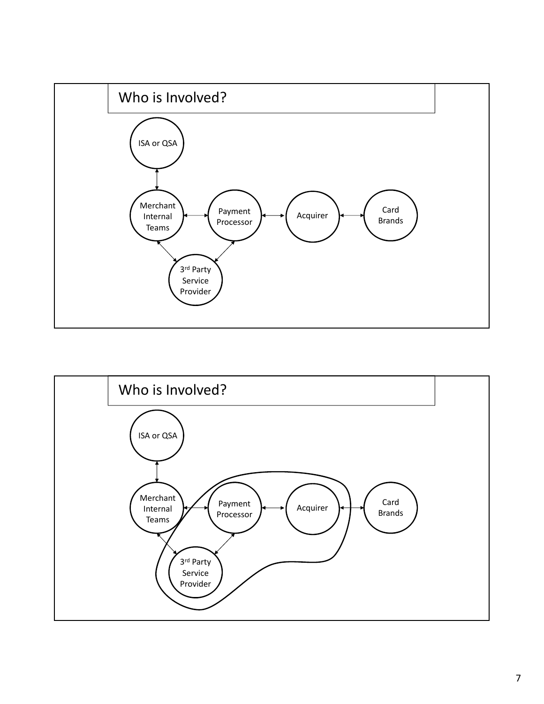

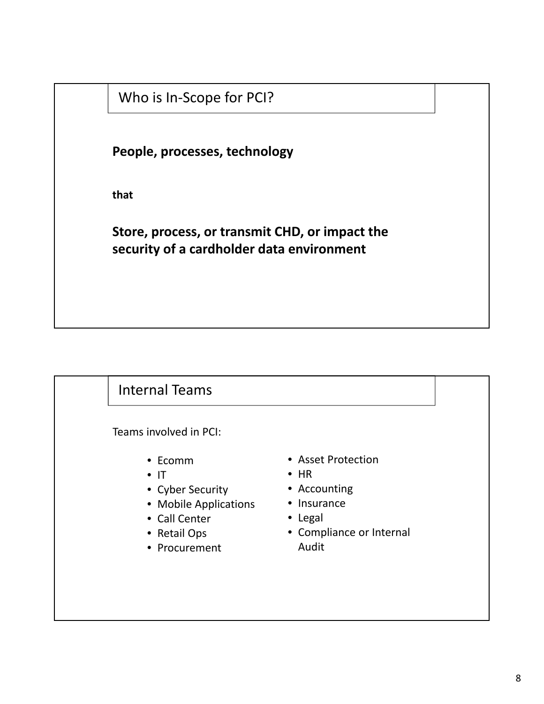### Who is In‐Scope for PCI?

**People, processes, technology**

**that**

**Store, process, or transmit CHD, or impact the security of a cardholder data environment**

## Internal Teams

Teams involved in PCI:

- Ecomm
- IT
- Cyber Security
- Mobile Applications
- Call Center
- Retail Ops
- Procurement
- Asset Protection
- HR
- Accounting
- Insurance
- Legal
- Compliance or Internal Audit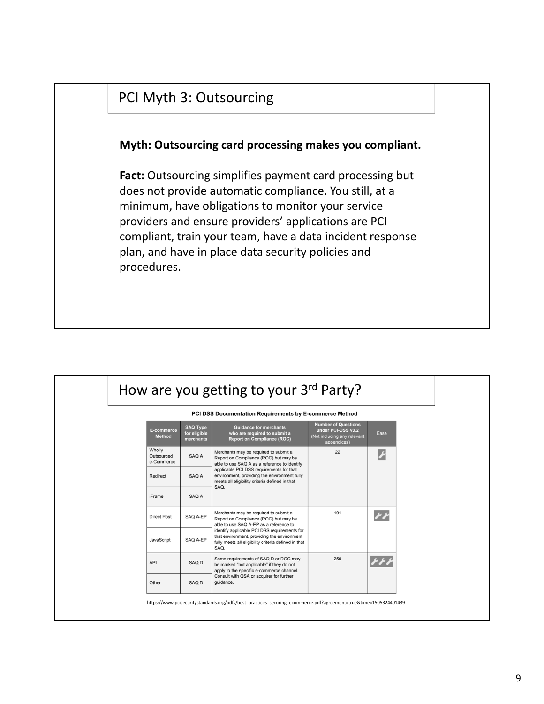

|                                    |                                              | PCI DSS Documentation Requirements by E-commerce Method                                                                                                                                                                                                                                 |                                                                                                |                         |
|------------------------------------|----------------------------------------------|-----------------------------------------------------------------------------------------------------------------------------------------------------------------------------------------------------------------------------------------------------------------------------------------|------------------------------------------------------------------------------------------------|-------------------------|
| <b>E-commerce</b><br><b>Method</b> | <b>SAQ Type</b><br>for eligible<br>merchants | <b>Guidance for merchants</b><br>who are required to submit a<br><b>Report on Compliance (ROC)</b>                                                                                                                                                                                      | <b>Number of Questions</b><br>under PCI-DSS v3.2<br>(Not including any relevant<br>appendices) | Ease                    |
| Wholly<br>Outsourced<br>e-Commerce | SAQ A                                        | Merchants may be required to submit a<br>Report on Compliance (ROC) but may be<br>able to use SAQ A as a reference to identify<br>applicable PCI DSS requirements for that<br>environment, providing the environment fully<br>meets all eligibility criteria defined in that<br>SAQ.    | 22                                                                                             | P                       |
| Redirect                           | SAQ A                                        |                                                                                                                                                                                                                                                                                         |                                                                                                |                         |
| <b>iFrame</b>                      | SAQ A                                        |                                                                                                                                                                                                                                                                                         |                                                                                                |                         |
| <b>Direct Post</b>                 | SAQ A-EP                                     | Merchants may be required to submit a<br>Report on Compliance (ROC) but may be<br>able to use SAQ A-EP as a reference to<br>identify applicable PCI DSS requirements for<br>that environment, providing the environment<br>fully meets all eligibility criteria defined in that<br>SAQ. | 191                                                                                            | $\overline{\mathbf{r}}$ |
| JavaScript                         | SAQ A-EP                                     |                                                                                                                                                                                                                                                                                         |                                                                                                |                         |
| API                                | SAQ D                                        | Some requirements of SAQ D or ROC may<br>be marked "not applicable" if they do not<br>apply to the specific e-commerce channel.<br>Consult with QSA or acquirer for further<br>guidance.                                                                                                | 250                                                                                            |                         |
| Other                              | SAQ D                                        |                                                                                                                                                                                                                                                                                         |                                                                                                |                         |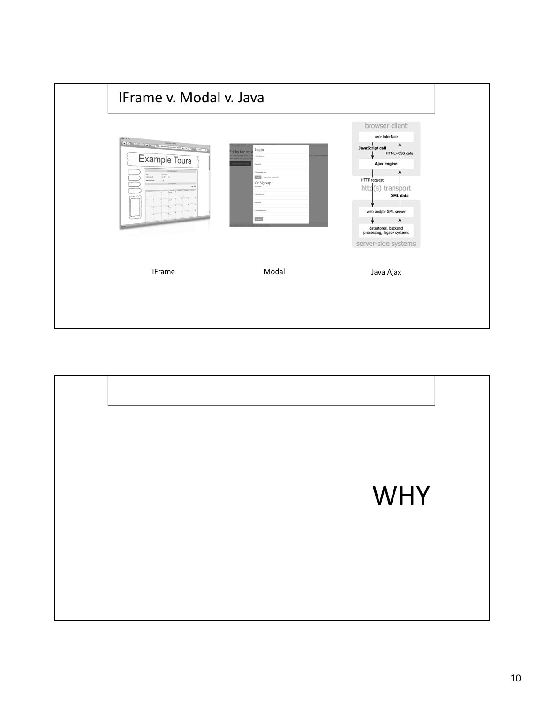

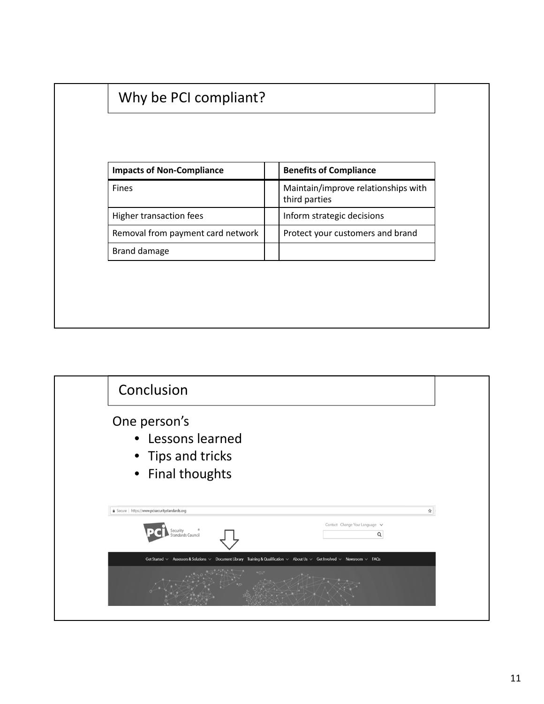| <b>Impacts of Non-Compliance</b>  | <b>Benefits of Compliance</b><br>Maintain/improve relationships with<br>third parties |  |  |  |  |  |
|-----------------------------------|---------------------------------------------------------------------------------------|--|--|--|--|--|
| Fines                             |                                                                                       |  |  |  |  |  |
| Higher transaction fees           | Inform strategic decisions                                                            |  |  |  |  |  |
| Removal from payment card network | Protect your customers and brand                                                      |  |  |  |  |  |
| Brand damage                      |                                                                                       |  |  |  |  |  |